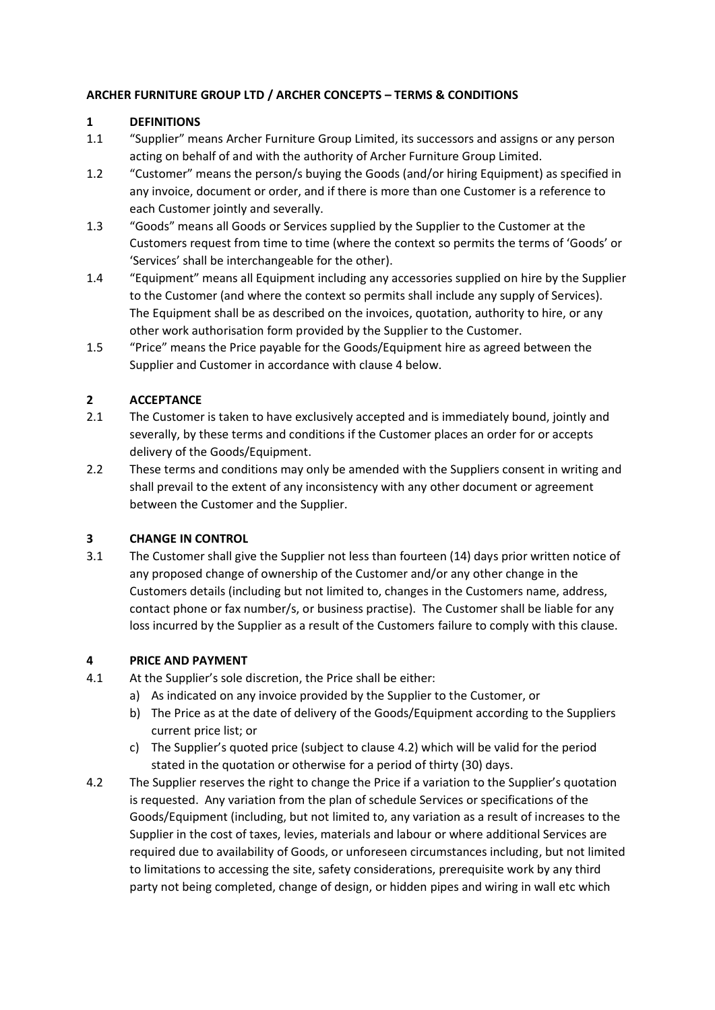## **ARCHER FURNITURE GROUP LTD / ARCHER CONCEPTS – TERMS & CONDITIONS**

## **1 DEFINITIONS**

- 1.1 "Supplier" means Archer Furniture Group Limited, its successors and assigns or any person acting on behalf of and with the authority of Archer Furniture Group Limited.
- 1.2 "Customer" means the person/s buying the Goods (and/or hiring Equipment) as specified in any invoice, document or order, and if there is more than one Customer is a reference to each Customer jointly and severally.
- 1.3 "Goods" means all Goods or Services supplied by the Supplier to the Customer at the Customers request from time to time (where the context so permits the terms of 'Goods' or 'Services' shall be interchangeable for the other).
- 1.4 "Equipment" means all Equipment including any accessories supplied on hire by the Supplier to the Customer (and where the context so permits shall include any supply of Services). The Equipment shall be as described on the invoices, quotation, authority to hire, or any other work authorisation form provided by the Supplier to the Customer.
- 1.5 "Price" means the Price payable for the Goods/Equipment hire as agreed between the Supplier and Customer in accordance with clause 4 below.

# **2 ACCEPTANCE**

- 2.1 The Customer is taken to have exclusively accepted and is immediately bound, jointly and severally, by these terms and conditions if the Customer places an order for or accepts delivery of the Goods/Equipment.
- 2.2 These terms and conditions may only be amended with the Suppliers consent in writing and shall prevail to the extent of any inconsistency with any other document or agreement between the Customer and the Supplier.

## **3 CHANGE IN CONTROL**

3.1 The Customer shall give the Supplier not less than fourteen (14) days prior written notice of any proposed change of ownership of the Customer and/or any other change in the Customers details (including but not limited to, changes in the Customers name, address, contact phone or fax number/s, or business practise). The Customer shall be liable for any loss incurred by the Supplier as a result of the Customers failure to comply with this clause.

## **4 PRICE AND PAYMENT**

- 4.1 At the Supplier's sole discretion, the Price shall be either:
	- a) As indicated on any invoice provided by the Supplier to the Customer, or
	- b) The Price as at the date of delivery of the Goods/Equipment according to the Suppliers current price list; or
	- c) The Supplier's quoted price (subject to clause 4.2) which will be valid for the period stated in the quotation or otherwise for a period of thirty (30) days.
- 4.2 The Supplier reserves the right to change the Price if a variation to the Supplier's quotation is requested. Any variation from the plan of schedule Services or specifications of the Goods/Equipment (including, but not limited to, any variation as a result of increases to the Supplier in the cost of taxes, levies, materials and labour or where additional Services are required due to availability of Goods, or unforeseen circumstances including, but not limited to limitations to accessing the site, safety considerations, prerequisite work by any third party not being completed, change of design, or hidden pipes and wiring in wall etc which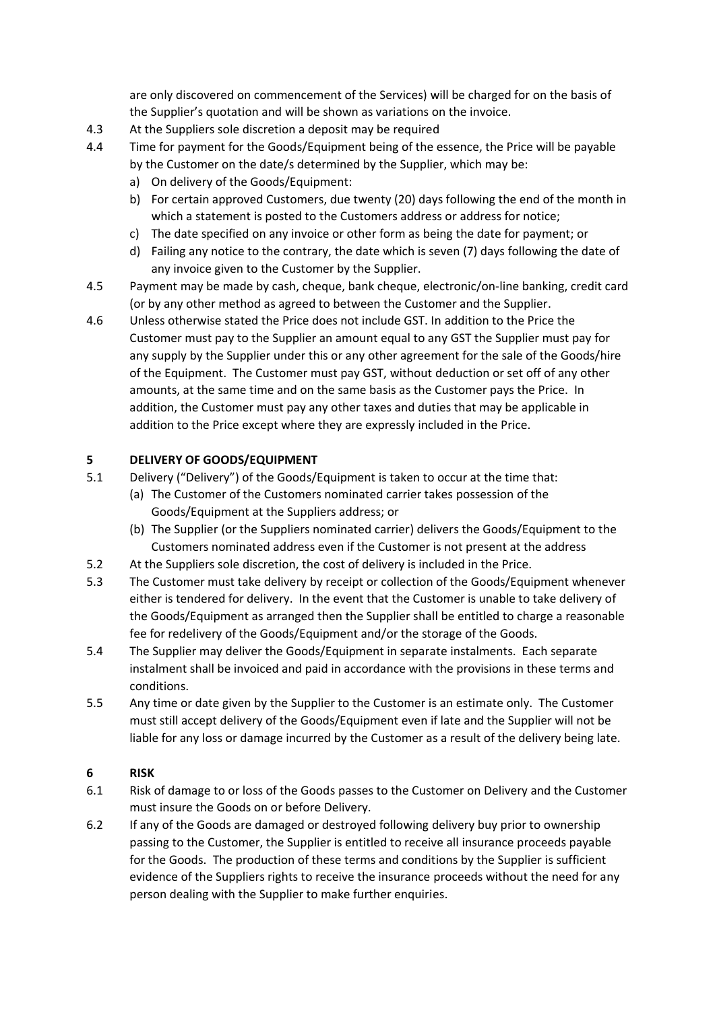are only discovered on commencement of the Services) will be charged for on the basis of the Supplier's quotation and will be shown as variations on the invoice.

- 4.3 At the Suppliers sole discretion a deposit may be required
- 4.4 Time for payment for the Goods/Equipment being of the essence, the Price will be payable by the Customer on the date/s determined by the Supplier, which may be:
	- a) On delivery of the Goods/Equipment:
	- b) For certain approved Customers, due twenty (20) days following the end of the month in which a statement is posted to the Customers address or address for notice;
	- c) The date specified on any invoice or other form as being the date for payment; or
	- d) Failing any notice to the contrary, the date which is seven (7) days following the date of any invoice given to the Customer by the Supplier.
- 4.5 Payment may be made by cash, cheque, bank cheque, electronic/on-line banking, credit card (or by any other method as agreed to between the Customer and the Supplier.
- 4.6 Unless otherwise stated the Price does not include GST. In addition to the Price the Customer must pay to the Supplier an amount equal to any GST the Supplier must pay for any supply by the Supplier under this or any other agreement for the sale of the Goods/hire of the Equipment. The Customer must pay GST, without deduction or set off of any other amounts, at the same time and on the same basis as the Customer pays the Price. In addition, the Customer must pay any other taxes and duties that may be applicable in addition to the Price except where they are expressly included in the Price.

## **5 DELIVERY OF GOODS/EQUIPMENT**

- 5.1 Delivery ("Delivery") of the Goods/Equipment is taken to occur at the time that:
	- (a) The Customer of the Customers nominated carrier takes possession of the Goods/Equipment at the Suppliers address; or
	- (b) The Supplier (or the Suppliers nominated carrier) delivers the Goods/Equipment to the Customers nominated address even if the Customer is not present at the address
- 5.2 At the Suppliers sole discretion, the cost of delivery is included in the Price.
- 5.3 The Customer must take delivery by receipt or collection of the Goods/Equipment whenever either is tendered for delivery. In the event that the Customer is unable to take delivery of the Goods/Equipment as arranged then the Supplier shall be entitled to charge a reasonable fee for redelivery of the Goods/Equipment and/or the storage of the Goods.
- 5.4 The Supplier may deliver the Goods/Equipment in separate instalments. Each separate instalment shall be invoiced and paid in accordance with the provisions in these terms and conditions.
- 5.5 Any time or date given by the Supplier to the Customer is an estimate only. The Customer must still accept delivery of the Goods/Equipment even if late and the Supplier will not be liable for any loss or damage incurred by the Customer as a result of the delivery being late.

## **6 RISK**

- 6.1 Risk of damage to or loss of the Goods passes to the Customer on Delivery and the Customer must insure the Goods on or before Delivery.
- 6.2 If any of the Goods are damaged or destroyed following delivery buy prior to ownership passing to the Customer, the Supplier is entitled to receive all insurance proceeds payable for the Goods. The production of these terms and conditions by the Supplier is sufficient evidence of the Suppliers rights to receive the insurance proceeds without the need for any person dealing with the Supplier to make further enquiries.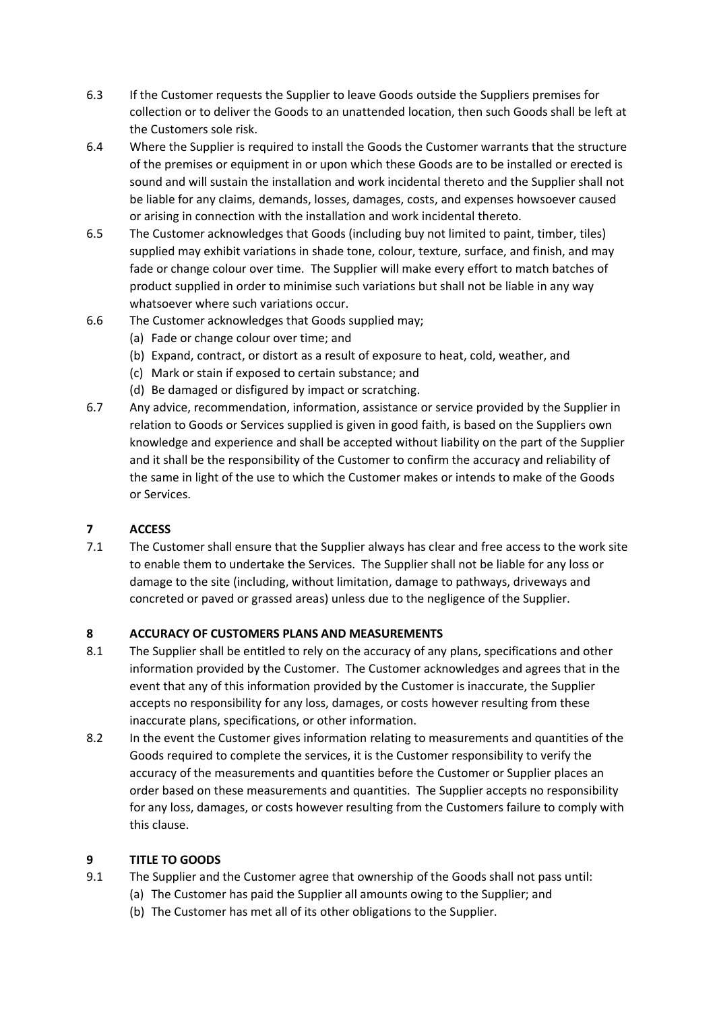- 6.3 If the Customer requests the Supplier to leave Goods outside the Suppliers premises for collection or to deliver the Goods to an unattended location, then such Goods shall be left at the Customers sole risk.
- 6.4 Where the Supplier is required to install the Goods the Customer warrants that the structure of the premises or equipment in or upon which these Goods are to be installed or erected is sound and will sustain the installation and work incidental thereto and the Supplier shall not be liable for any claims, demands, losses, damages, costs, and expenses howsoever caused or arising in connection with the installation and work incidental thereto.
- 6.5 The Customer acknowledges that Goods (including buy not limited to paint, timber, tiles) supplied may exhibit variations in shade tone, colour, texture, surface, and finish, and may fade or change colour over time. The Supplier will make every effort to match batches of product supplied in order to minimise such variations but shall not be liable in any way whatsoever where such variations occur.
- 6.6 The Customer acknowledges that Goods supplied may;
	- (a) Fade or change colour over time; and
	- (b) Expand, contract, or distort as a result of exposure to heat, cold, weather, and
	- (c) Mark or stain if exposed to certain substance; and
	- (d) Be damaged or disfigured by impact or scratching.
- 6.7 Any advice, recommendation, information, assistance or service provided by the Supplier in relation to Goods or Services supplied is given in good faith, is based on the Suppliers own knowledge and experience and shall be accepted without liability on the part of the Supplier and it shall be the responsibility of the Customer to confirm the accuracy and reliability of the same in light of the use to which the Customer makes or intends to make of the Goods or Services.

## **7 ACCESS**

7.1 The Customer shall ensure that the Supplier always has clear and free access to the work site to enable them to undertake the Services. The Supplier shall not be liable for any loss or damage to the site (including, without limitation, damage to pathways, driveways and concreted or paved or grassed areas) unless due to the negligence of the Supplier.

## **8 ACCURACY OF CUSTOMERS PLANS AND MEASUREMENTS**

- 8.1 The Supplier shall be entitled to rely on the accuracy of any plans, specifications and other information provided by the Customer. The Customer acknowledges and agrees that in the event that any of this information provided by the Customer is inaccurate, the Supplier accepts no responsibility for any loss, damages, or costs however resulting from these inaccurate plans, specifications, or other information.
- 8.2 In the event the Customer gives information relating to measurements and quantities of the Goods required to complete the services, it is the Customer responsibility to verify the accuracy of the measurements and quantities before the Customer or Supplier places an order based on these measurements and quantities. The Supplier accepts no responsibility for any loss, damages, or costs however resulting from the Customers failure to comply with this clause.

## **9 TITLE TO GOODS**

- 9.1 The Supplier and the Customer agree that ownership of the Goods shall not pass until:
	- (a) The Customer has paid the Supplier all amounts owing to the Supplier; and
	- (b) The Customer has met all of its other obligations to the Supplier.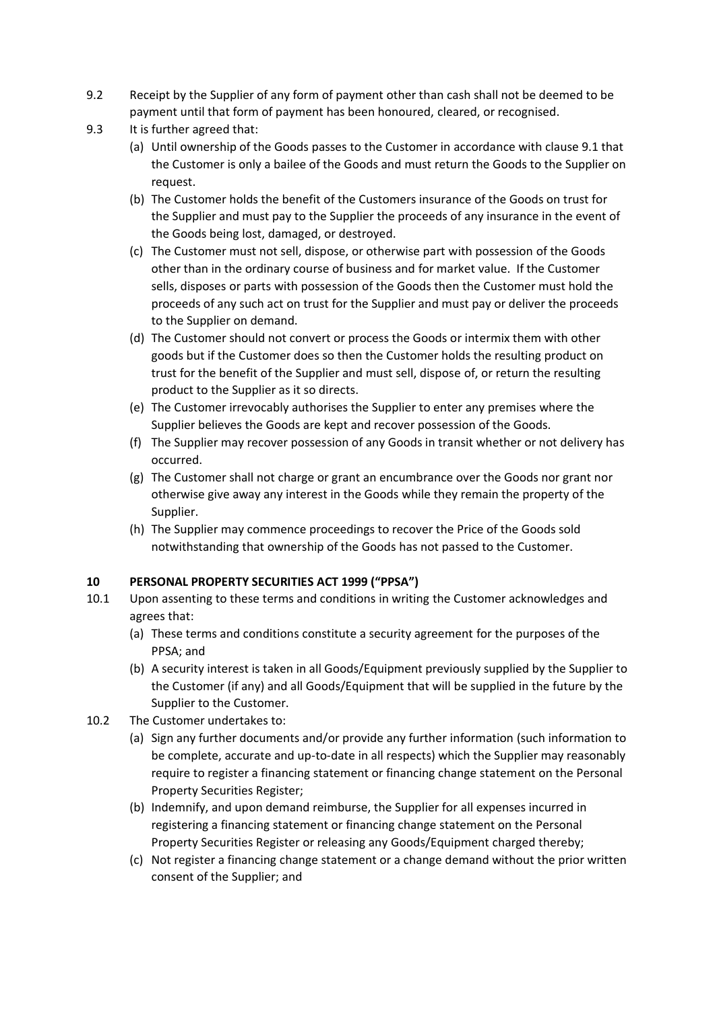- 9.2 Receipt by the Supplier of any form of payment other than cash shall not be deemed to be payment until that form of payment has been honoured, cleared, or recognised.
- 9.3 It is further agreed that:
	- (a) Until ownership of the Goods passes to the Customer in accordance with clause 9.1 that the Customer is only a bailee of the Goods and must return the Goods to the Supplier on request.
	- (b) The Customer holds the benefit of the Customers insurance of the Goods on trust for the Supplier and must pay to the Supplier the proceeds of any insurance in the event of the Goods being lost, damaged, or destroyed.
	- (c) The Customer must not sell, dispose, or otherwise part with possession of the Goods other than in the ordinary course of business and for market value. If the Customer sells, disposes or parts with possession of the Goods then the Customer must hold the proceeds of any such act on trust for the Supplier and must pay or deliver the proceeds to the Supplier on demand.
	- (d) The Customer should not convert or process the Goods or intermix them with other goods but if the Customer does so then the Customer holds the resulting product on trust for the benefit of the Supplier and must sell, dispose of, or return the resulting product to the Supplier as it so directs.
	- (e) The Customer irrevocably authorises the Supplier to enter any premises where the Supplier believes the Goods are kept and recover possession of the Goods.
	- (f) The Supplier may recover possession of any Goods in transit whether or not delivery has occurred.
	- (g) The Customer shall not charge or grant an encumbrance over the Goods nor grant nor otherwise give away any interest in the Goods while they remain the property of the Supplier.
	- (h) The Supplier may commence proceedings to recover the Price of the Goods sold notwithstanding that ownership of the Goods has not passed to the Customer.

## **10 PERSONAL PROPERTY SECURITIES ACT 1999 ("PPSA")**

- 10.1 Upon assenting to these terms and conditions in writing the Customer acknowledges and agrees that:
	- (a) These terms and conditions constitute a security agreement for the purposes of the PPSA; and
	- (b) A security interest is taken in all Goods/Equipment previously supplied by the Supplier to the Customer (if any) and all Goods/Equipment that will be supplied in the future by the Supplier to the Customer.
- 10.2 The Customer undertakes to:
	- (a) Sign any further documents and/or provide any further information (such information to be complete, accurate and up-to-date in all respects) which the Supplier may reasonably require to register a financing statement or financing change statement on the Personal Property Securities Register;
	- (b) Indemnify, and upon demand reimburse, the Supplier for all expenses incurred in registering a financing statement or financing change statement on the Personal Property Securities Register or releasing any Goods/Equipment charged thereby;
	- (c) Not register a financing change statement or a change demand without the prior written consent of the Supplier; and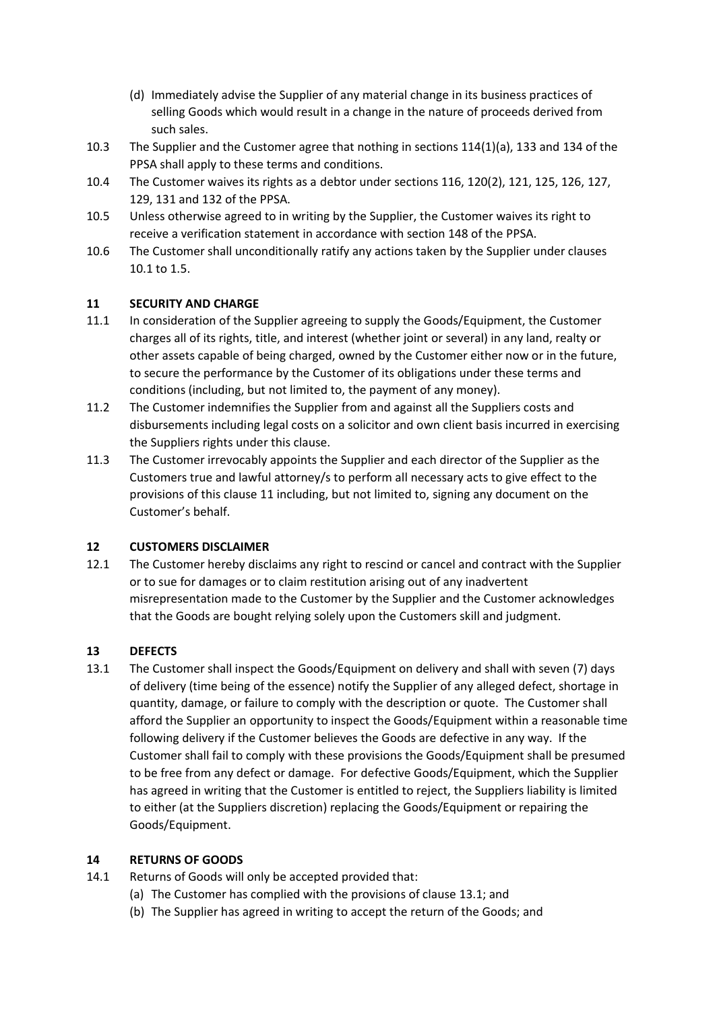- (d) Immediately advise the Supplier of any material change in its business practices of selling Goods which would result in a change in the nature of proceeds derived from such sales.
- 10.3 The Supplier and the Customer agree that nothing in sections 114(1)(a), 133 and 134 of the PPSA shall apply to these terms and conditions.
- 10.4 The Customer waives its rights as a debtor under sections 116, 120(2), 121, 125, 126, 127, 129, 131 and 132 of the PPSA.
- 10.5 Unless otherwise agreed to in writing by the Supplier, the Customer waives its right to receive a verification statement in accordance with section 148 of the PPSA.
- 10.6 The Customer shall unconditionally ratify any actions taken by the Supplier under clauses 10.1 to 1.5.

## **11 SECURITY AND CHARGE**

- 11.1 In consideration of the Supplier agreeing to supply the Goods/Equipment, the Customer charges all of its rights, title, and interest (whether joint or several) in any land, realty or other assets capable of being charged, owned by the Customer either now or in the future, to secure the performance by the Customer of its obligations under these terms and conditions (including, but not limited to, the payment of any money).
- 11.2 The Customer indemnifies the Supplier from and against all the Suppliers costs and disbursements including legal costs on a solicitor and own client basis incurred in exercising the Suppliers rights under this clause.
- 11.3 The Customer irrevocably appoints the Supplier and each director of the Supplier as the Customers true and lawful attorney/s to perform all necessary acts to give effect to the provisions of this clause 11 including, but not limited to, signing any document on the Customer's behalf.

## **12 CUSTOMERS DISCLAIMER**

12.1 The Customer hereby disclaims any right to rescind or cancel and contract with the Supplier or to sue for damages or to claim restitution arising out of any inadvertent misrepresentation made to the Customer by the Supplier and the Customer acknowledges that the Goods are bought relying solely upon the Customers skill and judgment.

# **13 DEFECTS**

13.1 The Customer shall inspect the Goods/Equipment on delivery and shall with seven (7) days of delivery (time being of the essence) notify the Supplier of any alleged defect, shortage in quantity, damage, or failure to comply with the description or quote. The Customer shall afford the Supplier an opportunity to inspect the Goods/Equipment within a reasonable time following delivery if the Customer believes the Goods are defective in any way. If the Customer shall fail to comply with these provisions the Goods/Equipment shall be presumed to be free from any defect or damage. For defective Goods/Equipment, which the Supplier has agreed in writing that the Customer is entitled to reject, the Suppliers liability is limited to either (at the Suppliers discretion) replacing the Goods/Equipment or repairing the Goods/Equipment.

## **14 RETURNS OF GOODS**

- 14.1 Returns of Goods will only be accepted provided that:
	- (a) The Customer has complied with the provisions of clause 13.1; and
	- (b) The Supplier has agreed in writing to accept the return of the Goods; and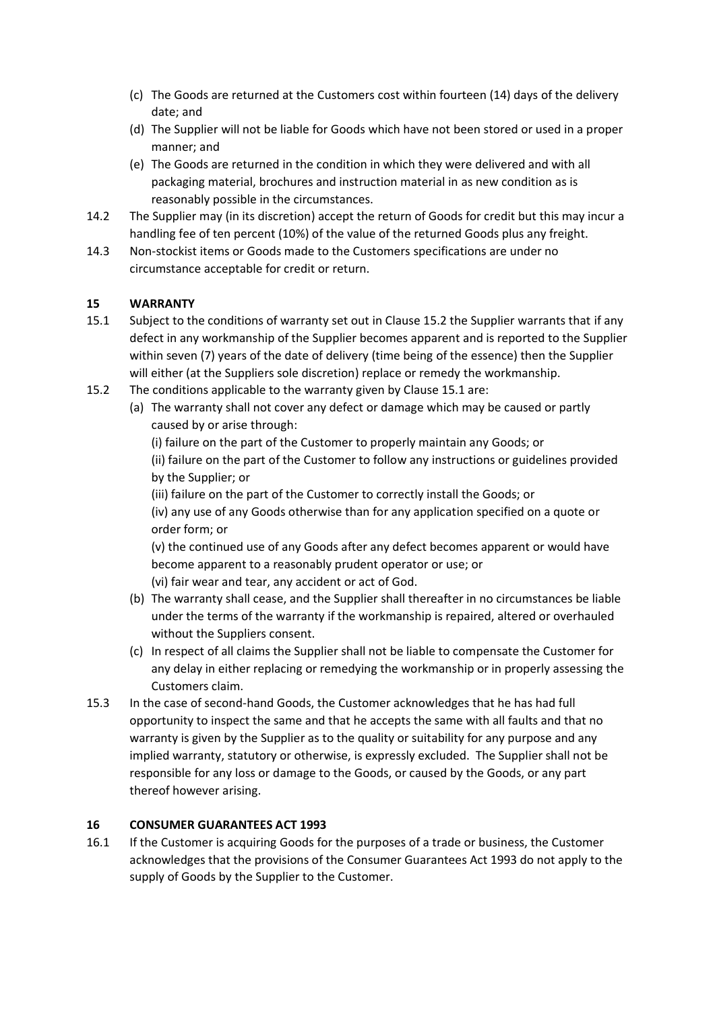- (c) The Goods are returned at the Customers cost within fourteen (14) days of the delivery date; and
- (d) The Supplier will not be liable for Goods which have not been stored or used in a proper manner; and
- (e) The Goods are returned in the condition in which they were delivered and with all packaging material, brochures and instruction material in as new condition as is reasonably possible in the circumstances.
- 14.2 The Supplier may (in its discretion) accept the return of Goods for credit but this may incur a handling fee of ten percent (10%) of the value of the returned Goods plus any freight.
- 14.3 Non-stockist items or Goods made to the Customers specifications are under no circumstance acceptable for credit or return.

# **15 WARRANTY**

- 15.1 Subject to the conditions of warranty set out in Clause 15.2 the Supplier warrants that if any defect in any workmanship of the Supplier becomes apparent and is reported to the Supplier within seven (7) years of the date of delivery (time being of the essence) then the Supplier will either (at the Suppliers sole discretion) replace or remedy the workmanship.
- 15.2 The conditions applicable to the warranty given by Clause 15.1 are:
	- (a) The warranty shall not cover any defect or damage which may be caused or partly caused by or arise through:

(i) failure on the part of the Customer to properly maintain any Goods; or (ii) failure on the part of the Customer to follow any instructions or guidelines provided by the Supplier; or

(iii) failure on the part of the Customer to correctly install the Goods; or (iv) any use of any Goods otherwise than for any application specified on a quote or order form; or

(v) the continued use of any Goods after any defect becomes apparent or would have become apparent to a reasonably prudent operator or use; or (vi) fair wear and tear, any accident or act of God.

- (b) The warranty shall cease, and the Supplier shall thereafter in no circumstances be liable under the terms of the warranty if the workmanship is repaired, altered or overhauled without the Suppliers consent.
- (c) In respect of all claims the Supplier shall not be liable to compensate the Customer for any delay in either replacing or remedying the workmanship or in properly assessing the Customers claim.
- 15.3 In the case of second-hand Goods, the Customer acknowledges that he has had full opportunity to inspect the same and that he accepts the same with all faults and that no warranty is given by the Supplier as to the quality or suitability for any purpose and any implied warranty, statutory or otherwise, is expressly excluded. The Supplier shall not be responsible for any loss or damage to the Goods, or caused by the Goods, or any part thereof however arising.

## **16 CONSUMER GUARANTEES ACT 1993**

16.1 If the Customer is acquiring Goods for the purposes of a trade or business, the Customer acknowledges that the provisions of the Consumer Guarantees Act 1993 do not apply to the supply of Goods by the Supplier to the Customer.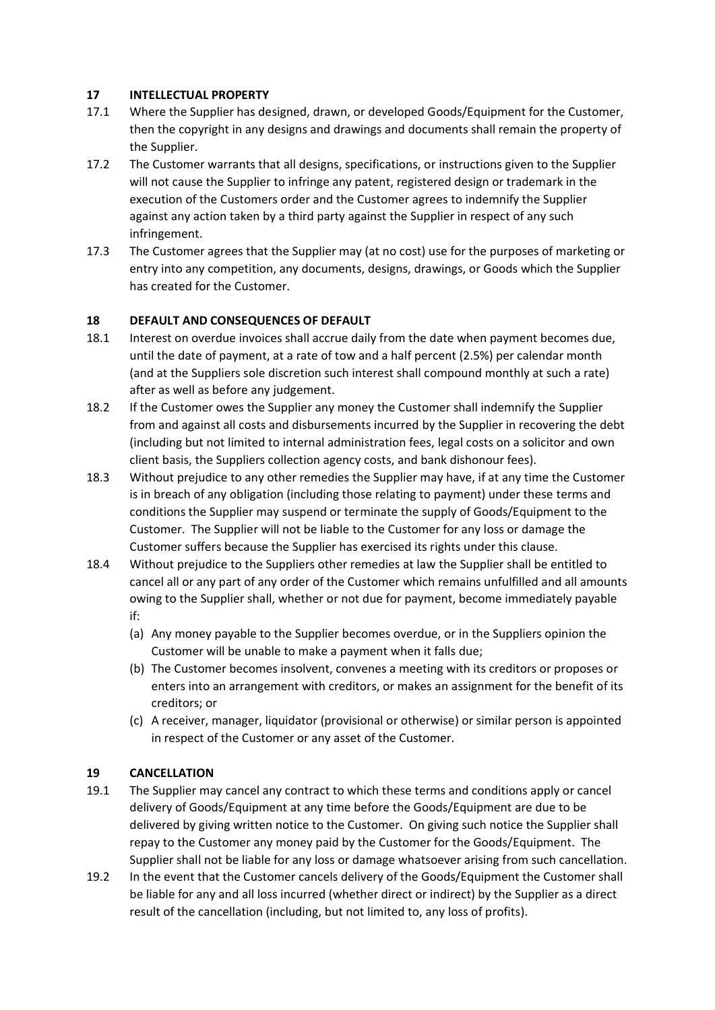### **17 INTELLECTUAL PROPERTY**

- 17.1 Where the Supplier has designed, drawn, or developed Goods/Equipment for the Customer, then the copyright in any designs and drawings and documents shall remain the property of the Supplier.
- 17.2 The Customer warrants that all designs, specifications, or instructions given to the Supplier will not cause the Supplier to infringe any patent, registered design or trademark in the execution of the Customers order and the Customer agrees to indemnify the Supplier against any action taken by a third party against the Supplier in respect of any such infringement.
- 17.3 The Customer agrees that the Supplier may (at no cost) use for the purposes of marketing or entry into any competition, any documents, designs, drawings, or Goods which the Supplier has created for the Customer.

## **18 DEFAULT AND CONSEQUENCES OF DEFAULT**

- 18.1 Interest on overdue invoices shall accrue daily from the date when payment becomes due, until the date of payment, at a rate of tow and a half percent (2.5%) per calendar month (and at the Suppliers sole discretion such interest shall compound monthly at such a rate) after as well as before any judgement.
- 18.2 If the Customer owes the Supplier any money the Customer shall indemnify the Supplier from and against all costs and disbursements incurred by the Supplier in recovering the debt (including but not limited to internal administration fees, legal costs on a solicitor and own client basis, the Suppliers collection agency costs, and bank dishonour fees).
- 18.3 Without prejudice to any other remedies the Supplier may have, if at any time the Customer is in breach of any obligation (including those relating to payment) under these terms and conditions the Supplier may suspend or terminate the supply of Goods/Equipment to the Customer. The Supplier will not be liable to the Customer for any loss or damage the Customer suffers because the Supplier has exercised its rights under this clause.
- 18.4 Without prejudice to the Suppliers other remedies at law the Supplier shall be entitled to cancel all or any part of any order of the Customer which remains unfulfilled and all amounts owing to the Supplier shall, whether or not due for payment, become immediately payable if:
	- (a) Any money payable to the Supplier becomes overdue, or in the Suppliers opinion the Customer will be unable to make a payment when it falls due;
	- (b) The Customer becomes insolvent, convenes a meeting with its creditors or proposes or enters into an arrangement with creditors, or makes an assignment for the benefit of its creditors; or
	- (c) A receiver, manager, liquidator (provisional or otherwise) or similar person is appointed in respect of the Customer or any asset of the Customer.

## **19 CANCELLATION**

- 19.1 The Supplier may cancel any contract to which these terms and conditions apply or cancel delivery of Goods/Equipment at any time before the Goods/Equipment are due to be delivered by giving written notice to the Customer. On giving such notice the Supplier shall repay to the Customer any money paid by the Customer for the Goods/Equipment. The Supplier shall not be liable for any loss or damage whatsoever arising from such cancellation.
- 19.2 In the event that the Customer cancels delivery of the Goods/Equipment the Customer shall be liable for any and all loss incurred (whether direct or indirect) by the Supplier as a direct result of the cancellation (including, but not limited to, any loss of profits).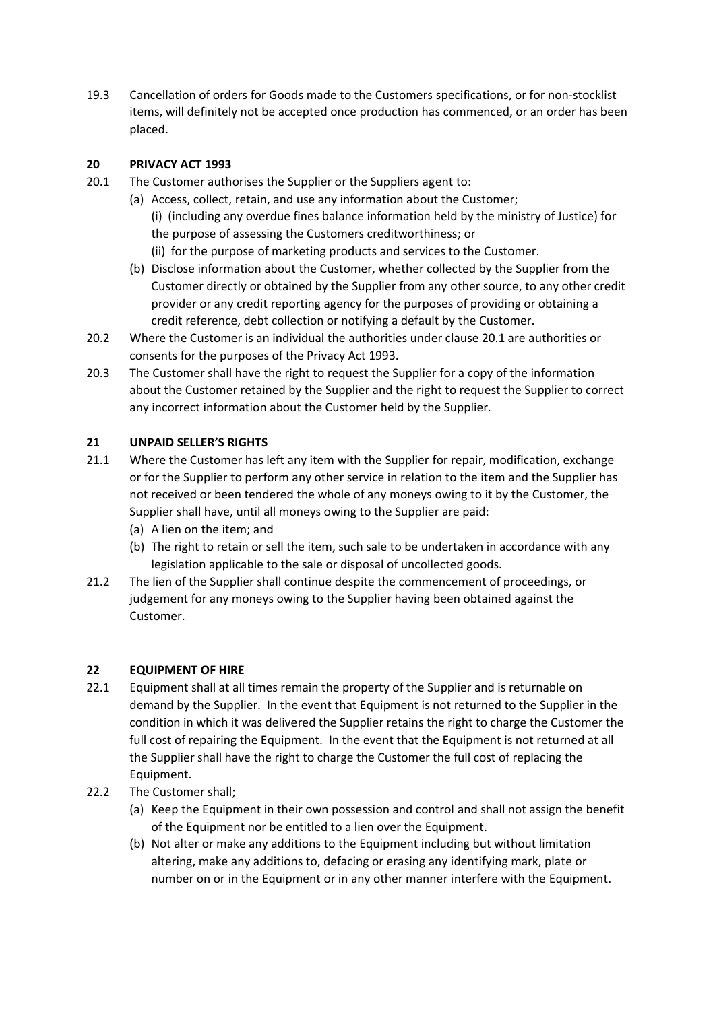19.3 Cancellation of orders for Goods made to the Customers specifications, or for non-stocklist items, will definitely not be accepted once production has commenced, or an order has been placed.

## **20 PRIVACY ACT 1993**

- 20.1 The Customer authorises the Supplier or the Suppliers agent to:
	- (a) Access, collect, retain, and use any information about the Customer; (i) (including any overdue fines balance information held by the ministry of Justice) for the purpose of assessing the Customers creditworthiness; or (ii) for the purpose of marketing products and services to the Customer.
	- (b) Disclose information about the Customer, whether collected by the Supplier from the Customer directly or obtained by the Supplier from any other source, to any other credit provider or any credit reporting agency for the purposes of providing or obtaining a credit reference, debt collection or notifying a default by the Customer.
- 20.2 Where the Customer is an individual the authorities under clause 20.1 are authorities or consents for the purposes of the Privacy Act 1993.
- 20.3 The Customer shall have the right to request the Supplier for a copy of the information about the Customer retained by the Supplier and the right to request the Supplier to correct any incorrect information about the Customer held by the Supplier.

### **21 UNPAID SELLER'S RIGHTS**

- 21.1 Where the Customer has left any item with the Supplier for repair, modification, exchange or for the Supplier to perform any other service in relation to the item and the Supplier has not received or been tendered the whole of any moneys owing to it by the Customer, the Supplier shall have, until all moneys owing to the Supplier are paid:
	- (a) A lien on the item; and
	- (b) The right to retain or sell the item, such sale to be undertaken in accordance with any legislation applicable to the sale or disposal of uncollected goods.
- 21.2 The lien of the Supplier shall continue despite the commencement of proceedings, or judgement for any moneys owing to the Supplier having been obtained against the Customer.

#### **22 EQUIPMENT OF HIRE**

- 22.1 Equipment shall at all times remain the property of the Supplier and is returnable on demand by the Supplier. In the event that Equipment is not returned to the Supplier in the condition in which it was delivered the Supplier retains the right to charge the Customer the full cost of repairing the Equipment. In the event that the Equipment is not returned at all the Supplier shall have the right to charge the Customer the full cost of replacing the Equipment.
- 22.2 The Customer shall;
	- (a) Keep the Equipment in their own possession and control and shall not assign the benefit of the Equipment nor be entitled to a lien over the Equipment.
	- (b) Not alter or make any additions to the Equipment including but without limitation altering, make any additions to, defacing or erasing any identifying mark, plate or number on or in the Equipment or in any other manner interfere with the Equipment.